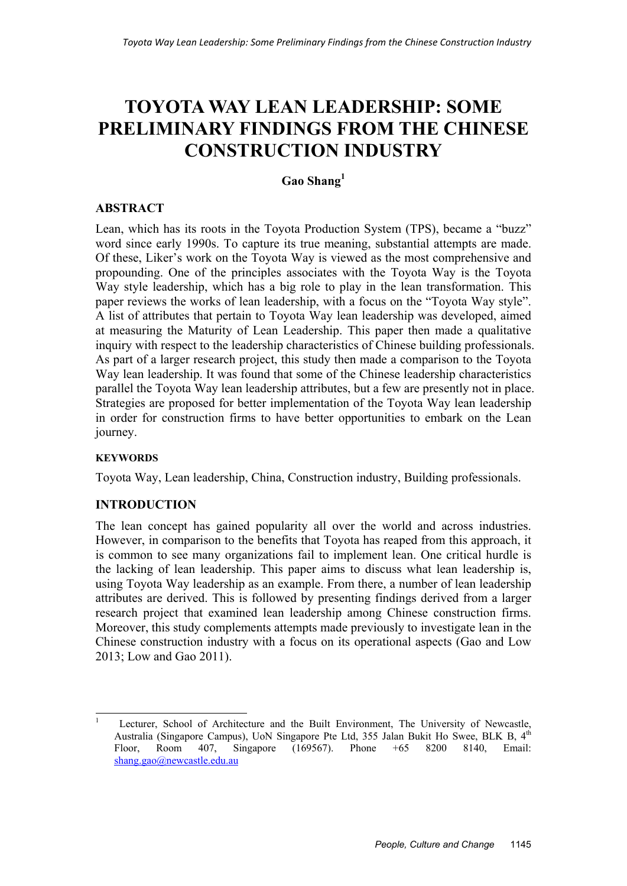# **TOYOTA WAY LEAN LEADERSHIP: SOME PRELIMINARY FINDINGS FROM THE CHINESE CONSTRUCTION INDUSTRY**

# **Gao Shang<sup>1</sup>**

# **ABSTRACT**

Lean, which has its roots in the Toyota Production System (TPS), became a "buzz" word since early 1990s. To capture its true meaning, substantial attempts are made. Of these, Liker's work on the Toyota Way is viewed as the most comprehensive and propounding. One of the principles associates with the Toyota Way is the Toyota Way style leadership, which has a big role to play in the lean transformation. This paper reviews the works of lean leadership, with a focus on the "Toyota Way style". A list of attributes that pertain to Toyota Way lean leadership was developed, aimed at measuring the Maturity of Lean Leadership. This paper then made a qualitative inquiry with respect to the leadership characteristics of Chinese building professionals. As part of a larger research project, this study then made a comparison to the Toyota Way lean leadership. It was found that some of the Chinese leadership characteristics parallel the Toyota Way lean leadership attributes, but a few are presently not in place. Strategies are proposed for better implementation of the Toyota Way lean leadership in order for construction firms to have better opportunities to embark on the Lean journey.

# **KEYWORDS**

Toyota Way, Lean leadership, China, Construction industry, Building professionals.

# **INTRODUCTION**

The lean concept has gained popularity all over the world and across industries. However, in comparison to the benefits that Toyota has reaped from this approach, it is common to see many organizations fail to implement lean. One critical hurdle is the lacking of lean leadership. This paper aims to discuss what lean leadership is, using Toyota Way leadership as an example. From there, a number of lean leadership attributes are derived. This is followed by presenting findings derived from a larger research project that examined lean leadership among Chinese construction firms. Moreover, this study complements attempts made previously to investigate lean in the Chinese construction industry with a focus on its operational aspects (Gao and Low 2013; Low and Gao 2011).

 $\frac{1}{1}$  Lecturer, School of Architecture and the Built Environment, The University of Newcastle, Australia (Singapore Campus), UoN Singapore Pte Ltd, 355 Jalan Bukit Ho Swee, BLK B, 4<sup>th</sup> Floor, Room 407, Singapore (169567). Phone +65 8200 8140, Email: shang.gao@newcastle.edu.au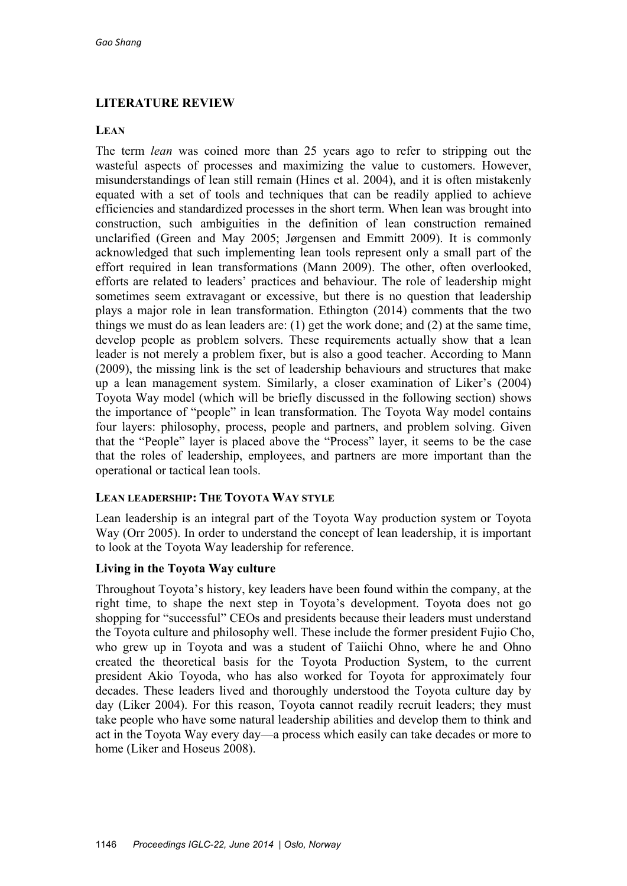# **LITERATURE REVIEW**

# **LEAN**

The term *lean* was coined more than 25 years ago to refer to stripping out the wasteful aspects of processes and maximizing the value to customers. However, misunderstandings of lean still remain (Hines et al. 2004), and it is often mistakenly equated with a set of tools and techniques that can be readily applied to achieve efficiencies and standardized processes in the short term. When lean was brought into construction, such ambiguities in the definition of lean construction remained unclarified (Green and May 2005; Jørgensen and Emmitt 2009). It is commonly acknowledged that such implementing lean tools represent only a small part of the effort required in lean transformations (Mann 2009). The other, often overlooked, efforts are related to leaders' practices and behaviour. The role of leadership might sometimes seem extravagant or excessive, but there is no question that leadership plays a major role in lean transformation. Ethington (2014) comments that the two things we must do as lean leaders are: (1) get the work done; and (2) at the same time, develop people as problem solvers. These requirements actually show that a lean leader is not merely a problem fixer, but is also a good teacher. According to Mann (2009), the missing link is the set of leadership behaviours and structures that make up a lean management system. Similarly, a closer examination of Liker's (2004) Toyota Way model (which will be briefly discussed in the following section) shows the importance of "people" in lean transformation. The Toyota Way model contains four layers: philosophy, process, people and partners, and problem solving. Given that the "People" layer is placed above the "Process" layer, it seems to be the case that the roles of leadership, employees, and partners are more important than the operational or tactical lean tools.

# **LEAN LEADERSHIP: THE TOYOTA WAY STYLE**

Lean leadership is an integral part of the Toyota Way production system or Toyota Way (Orr 2005). In order to understand the concept of lean leadership, it is important to look at the Toyota Way leadership for reference.

# **Living in the Toyota Way culture**

Throughout Toyota's history, key leaders have been found within the company, at the right time, to shape the next step in Toyota's development. Toyota does not go shopping for "successful" CEOs and presidents because their leaders must understand the Toyota culture and philosophy well. These include the former president Fujio Cho, who grew up in Toyota and was a student of Taiichi Ohno, where he and Ohno created the theoretical basis for the Toyota Production System, to the current president Akio Toyoda, who has also worked for Toyota for approximately four decades. These leaders lived and thoroughly understood the Toyota culture day by day (Liker 2004). For this reason, Toyota cannot readily recruit leaders; they must take people who have some natural leadership abilities and develop them to think and act in the Toyota Way every day—a process which easily can take decades or more to home (Liker and Hoseus 2008).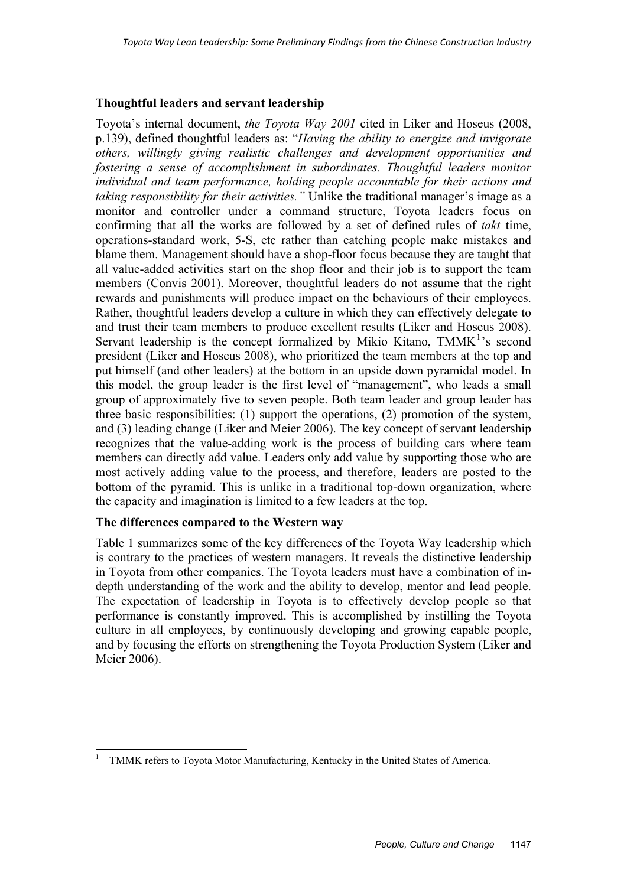### **Thoughtful leaders and servant leadership**

Toyota's internal document, *the Toyota Way 2001* cited in Liker and Hoseus (2008, p.139), defined thoughtful leaders as: "*Having the ability to energize and invigorate others, willingly giving realistic challenges and development opportunities and fostering a sense of accomplishment in subordinates. Thoughtful leaders monitor individual and team performance, holding people accountable for their actions and taking responsibility for their activities."* Unlike the traditional manager's image as a monitor and controller under a command structure, Toyota leaders focus on confirming that all the works are followed by a set of defined rules of *takt* time, operations-standard work, 5-S, etc rather than catching people make mistakes and blame them. Management should have a shop-floor focus because they are taught that all value-added activities start on the shop floor and their job is to support the team members (Convis 2001). Moreover, thoughtful leaders do not assume that the right rewards and punishments will produce impact on the behaviours of their employees. Rather, thoughtful leaders develop a culture in which they can effectively delegate to and trust their team members to produce excellent results (Liker and Hoseus 2008). Servant leadership is the concept formalized by Mikio Kitano, TMMK<sup>1</sup>'s second president (Liker and Hoseus 2008), who prioritized the team members at the top and put himself (and other leaders) at the bottom in an upside down pyramidal model. In this model, the group leader is the first level of "management", who leads a small group of approximately five to seven people. Both team leader and group leader has three basic responsibilities: (1) support the operations, (2) promotion of the system, and (3) leading change (Liker and Meier 2006). The key concept of servant leadership recognizes that the value-adding work is the process of building cars where team members can directly add value. Leaders only add value by supporting those who are most actively adding value to the process, and therefore, leaders are posted to the bottom of the pyramid. This is unlike in a traditional top-down organization, where the capacity and imagination is limited to a few leaders at the top.

# **The differences compared to the Western way**

Table 1 summarizes some of the key differences of the Toyota Way leadership which is contrary to the practices of western managers. It reveals the distinctive leadership in Toyota from other companies. The Toyota leaders must have a combination of indepth understanding of the work and the ability to develop, mentor and lead people. The expectation of leadership in Toyota is to effectively develop people so that performance is constantly improved. This is accomplished by instilling the Toyota culture in all employees, by continuously developing and growing capable people, and by focusing the efforts on strengthening the Toyota Production System (Liker and Meier 2006).

 $\frac{1}{1}$ TMMK refers to Toyota Motor Manufacturing, Kentucky in the United States of America.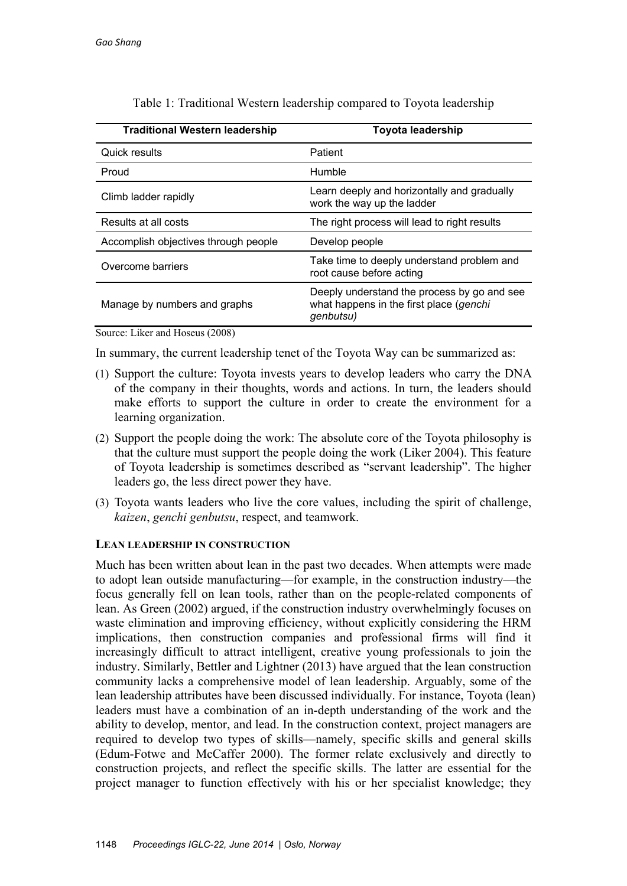| <b>Traditional Western leadership</b> | Toyota leadership                                                                                   |  |  |
|---------------------------------------|-----------------------------------------------------------------------------------------------------|--|--|
| Quick results                         | Patient                                                                                             |  |  |
| Proud                                 | Humble                                                                                              |  |  |
| Climb ladder rapidly                  | Learn deeply and horizontally and gradually<br>work the way up the ladder                           |  |  |
| Results at all costs                  | The right process will lead to right results                                                        |  |  |
| Accomplish objectives through people  | Develop people                                                                                      |  |  |
| Overcome barriers                     | Take time to deeply understand problem and<br>root cause before acting                              |  |  |
| Manage by numbers and graphs          | Deeply understand the process by go and see<br>what happens in the first place (genchi<br>genbutsu) |  |  |

Table 1: Traditional Western leadership compared to Toyota leadership

Source: Liker and Hoseus (2008)

In summary, the current leadership tenet of the Toyota Way can be summarized as:

- (1) Support the culture: Toyota invests years to develop leaders who carry the DNA of the company in their thoughts, words and actions. In turn, the leaders should make efforts to support the culture in order to create the environment for a learning organization.
- (2) Support the people doing the work: The absolute core of the Toyota philosophy is that the culture must support the people doing the work (Liker 2004). This feature of Toyota leadership is sometimes described as "servant leadership". The higher leaders go, the less direct power they have.
- (3) Toyota wants leaders who live the core values, including the spirit of challenge, *kaizen*, *genchi genbutsu*, respect, and teamwork.

# **LEAN LEADERSHIP IN CONSTRUCTION**

Much has been written about lean in the past two decades. When attempts were made to adopt lean outside manufacturing—for example, in the construction industry—the focus generally fell on lean tools, rather than on the people-related components of lean. As Green (2002) argued, if the construction industry overwhelmingly focuses on waste elimination and improving efficiency, without explicitly considering the HRM implications, then construction companies and professional firms will find it increasingly difficult to attract intelligent, creative young professionals to join the industry. Similarly, Bettler and Lightner (2013) have argued that the lean construction community lacks a comprehensive model of lean leadership. Arguably, some of the lean leadership attributes have been discussed individually. For instance, Toyota (lean) leaders must have a combination of an in-depth understanding of the work and the ability to develop, mentor, and lead. In the construction context, project managers are required to develop two types of skills—namely, specific skills and general skills (Edum-Fotwe and McCaffer 2000). The former relate exclusively and directly to construction projects, and reflect the specific skills. The latter are essential for the project manager to function effectively with his or her specialist knowledge; they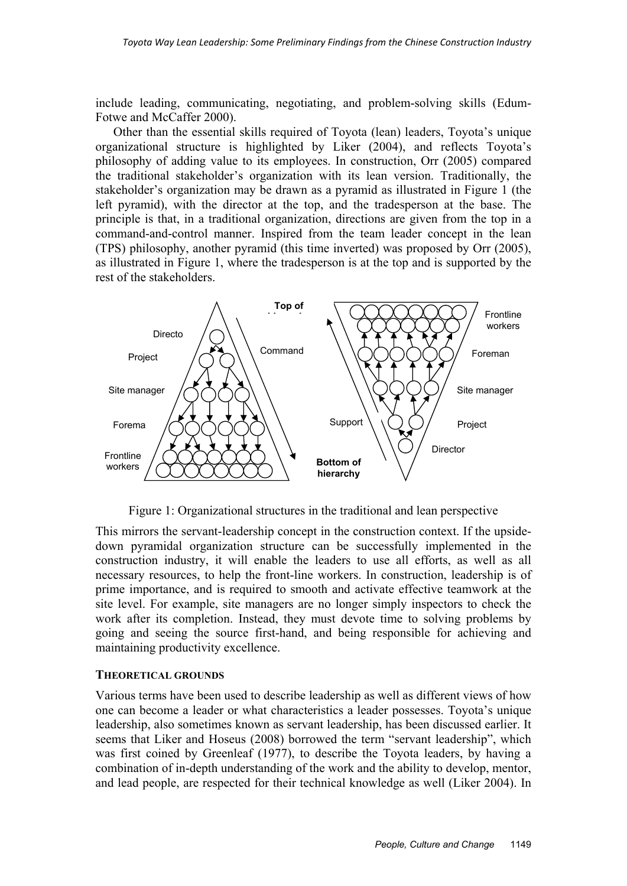include leading, communicating, negotiating, and problem-solving skills (Edum-Fotwe and McCaffer 2000).

Other than the essential skills required of Toyota (lean) leaders, Toyota's unique organizational structure is highlighted by Liker (2004), and reflects Toyota's philosophy of adding value to its employees. In construction, Orr (2005) compared the traditional stakeholder's organization with its lean version. Traditionally, the stakeholder's organization may be drawn as a pyramid as illustrated in Figure 1 (the left pyramid), with the director at the top, and the tradesperson at the base. The principle is that, in a traditional organization, directions are given from the top in a command-and-control manner. Inspired from the team leader concept in the lean (TPS) philosophy, another pyramid (this time inverted) was proposed by Orr (2005), as illustrated in Figure 1, where the tradesperson is at the top and is supported by the rest of the stakeholders.



Figure 1: Organizational structures in the traditional and lean perspective

This mirrors the servant-leadership concept in the construction context. If the upsidedown pyramidal organization structure can be successfully implemented in the construction industry, it will enable the leaders to use all efforts, as well as all necessary resources, to help the front-line workers. In construction, leadership is of prime importance, and is required to smooth and activate effective teamwork at the site level. For example, site managers are no longer simply inspectors to check the work after its completion. Instead, they must devote time to solving problems by going and seeing the source first-hand, and being responsible for achieving and maintaining productivity excellence.

#### **THEORETICAL GROUNDS**

Various terms have been used to describe leadership as well as different views of how one can become a leader or what characteristics a leader possesses. Toyota's unique leadership, also sometimes known as servant leadership, has been discussed earlier. It seems that Liker and Hoseus (2008) borrowed the term "servant leadership", which was first coined by Greenleaf (1977), to describe the Toyota leaders, by having a combination of in-depth understanding of the work and the ability to develop, mentor, and lead people, are respected for their technical knowledge as well (Liker 2004). In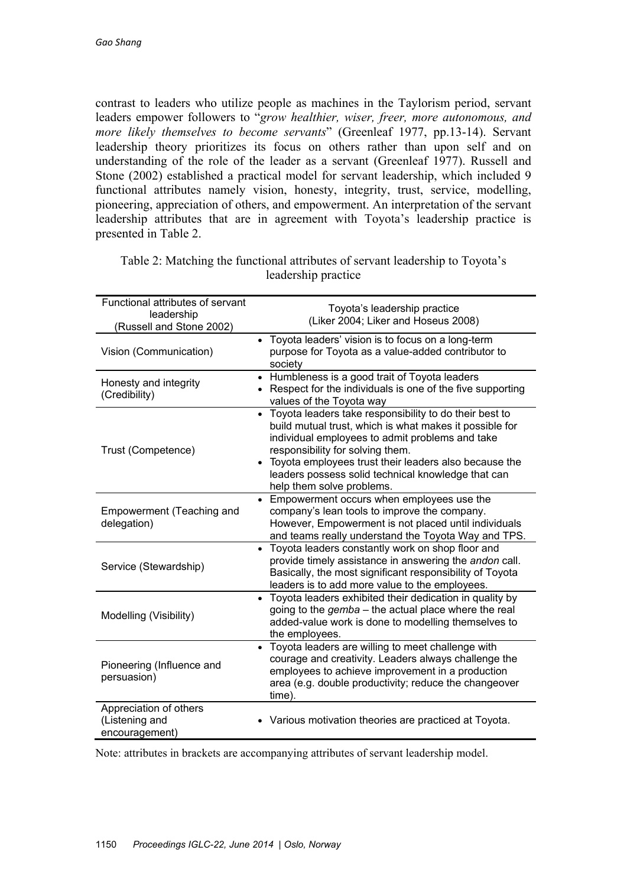contrast to leaders who utilize people as machines in the Taylorism period, servant leaders empower followers to "*grow healthier, wiser, freer, more autonomous, and more likely themselves to become servants*" (Greenleaf 1977, pp.13-14). Servant leadership theory prioritizes its focus on others rather than upon self and on understanding of the role of the leader as a servant (Greenleaf 1977). Russell and Stone (2002) established a practical model for servant leadership, which included 9 functional attributes namely vision, honesty, integrity, trust, service, modelling, pioneering, appreciation of others, and empowerment. An interpretation of the servant leadership attributes that are in agreement with Toyota's leadership practice is presented in Table 2.

| Functional attributes of servant<br>leadership             | Toyota's leadership practice                                                                                                                                                                                                                                                                                                                           |
|------------------------------------------------------------|--------------------------------------------------------------------------------------------------------------------------------------------------------------------------------------------------------------------------------------------------------------------------------------------------------------------------------------------------------|
| (Russell and Stone 2002)                                   | (Liker 2004; Liker and Hoseus 2008)                                                                                                                                                                                                                                                                                                                    |
| Vision (Communication)                                     | • Toyota leaders' vision is to focus on a long-term<br>purpose for Toyota as a value-added contributor to<br>society                                                                                                                                                                                                                                   |
| Honesty and integrity<br>(Credibility)                     | Humbleness is a good trait of Toyota leaders<br>Respect for the individuals is one of the five supporting<br>values of the Toyota way                                                                                                                                                                                                                  |
| Trust (Competence)                                         | • Toyota leaders take responsibility to do their best to<br>build mutual trust, which is what makes it possible for<br>individual employees to admit problems and take<br>responsibility for solving them.<br>Toyota employees trust their leaders also because the<br>leaders possess solid technical knowledge that can<br>help them solve problems. |
| Empowerment (Teaching and<br>delegation)                   | • Empowerment occurs when employees use the<br>company's lean tools to improve the company.<br>However, Empowerment is not placed until individuals<br>and teams really understand the Toyota Way and TPS.                                                                                                                                             |
| Service (Stewardship)                                      | • Toyota leaders constantly work on shop floor and<br>provide timely assistance in answering the andon call.<br>Basically, the most significant responsibility of Toyota<br>leaders is to add more value to the employees.                                                                                                                             |
| Modelling (Visibility)                                     | • Toyota leaders exhibited their dedication in quality by<br>going to the <i>gemba</i> – the actual place where the real<br>added-value work is done to modelling themselves to<br>the employees.                                                                                                                                                      |
| Pioneering (Influence and<br>persuasion)                   | Toyota leaders are willing to meet challenge with<br>$\bullet$<br>courage and creativity. Leaders always challenge the<br>employees to achieve improvement in a production<br>area (e.g. double productivity; reduce the changeover<br>time).                                                                                                          |
| Appreciation of others<br>(Listening and<br>encouragement) | • Various motivation theories are practiced at Toyota.                                                                                                                                                                                                                                                                                                 |

Table 2: Matching the functional attributes of servant leadership to Toyota's leadership practice

Note: attributes in brackets are accompanying attributes of servant leadership model.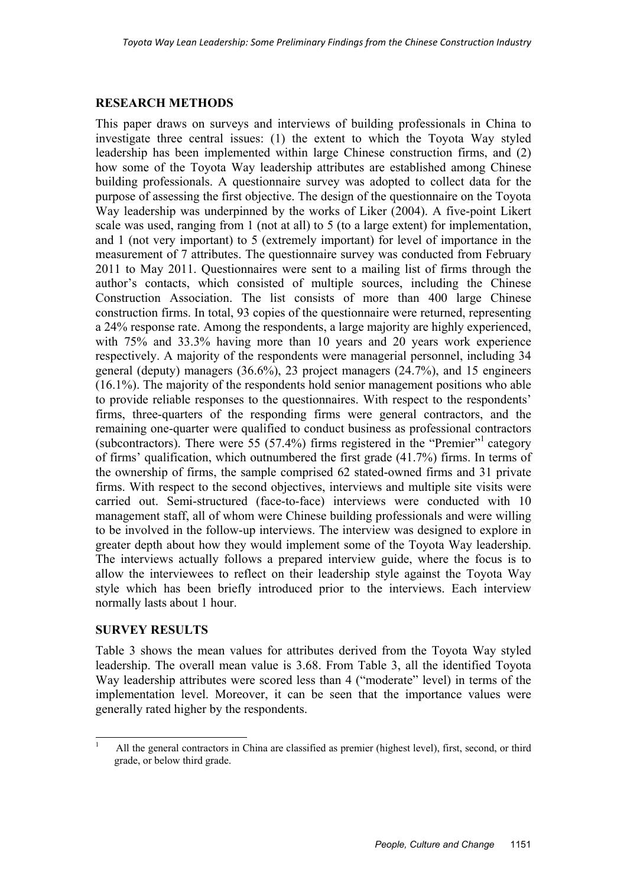# **RESEARCH METHODS**

This paper draws on surveys and interviews of building professionals in China to investigate three central issues: (1) the extent to which the Toyota Way styled leadership has been implemented within large Chinese construction firms, and (2) how some of the Toyota Way leadership attributes are established among Chinese building professionals. A questionnaire survey was adopted to collect data for the purpose of assessing the first objective. The design of the questionnaire on the Toyota Way leadership was underpinned by the works of Liker (2004). A five-point Likert scale was used, ranging from 1 (not at all) to 5 (to a large extent) for implementation, and 1 (not very important) to 5 (extremely important) for level of importance in the measurement of 7 attributes. The questionnaire survey was conducted from February 2011 to May 2011. Questionnaires were sent to a mailing list of firms through the author's contacts, which consisted of multiple sources, including the Chinese Construction Association. The list consists of more than 400 large Chinese construction firms. In total, 93 copies of the questionnaire were returned, representing a 24% response rate. Among the respondents, a large majority are highly experienced, with 75% and 33.3% having more than 10 years and 20 years work experience respectively. A majority of the respondents were managerial personnel, including 34 general (deputy) managers (36.6%), 23 project managers (24.7%), and 15 engineers (16.1%). The majority of the respondents hold senior management positions who able to provide reliable responses to the questionnaires. With respect to the respondents' firms, three-quarters of the responding firms were general contractors, and the remaining one-quarter were qualified to conduct business as professional contractors (subcontractors). There were 55 (57.4%) firms registered in the "Premier"<sup>1</sup> category of firms' qualification, which outnumbered the first grade (41.7%) firms. In terms of the ownership of firms, the sample comprised 62 stated-owned firms and 31 private firms. With respect to the second objectives, interviews and multiple site visits were carried out. Semi-structured (face-to-face) interviews were conducted with 10 management staff, all of whom were Chinese building professionals and were willing to be involved in the follow-up interviews. The interview was designed to explore in greater depth about how they would implement some of the Toyota Way leadership. The interviews actually follows a prepared interview guide, where the focus is to allow the interviewees to reflect on their leadership style against the Toyota Way style which has been briefly introduced prior to the interviews. Each interview normally lasts about 1 hour.

# **SURVEY RESULTS**

Table 3 shows the mean values for attributes derived from the Toyota Way styled leadership. The overall mean value is 3.68. From Table 3, all the identified Toyota Way leadership attributes were scored less than 4 ("moderate" level) in terms of the implementation level. Moreover, it can be seen that the importance values were generally rated higher by the respondents.

 $\frac{1}{1}$  All the general contractors in China are classified as premier (highest level), first, second, or third grade, or below third grade.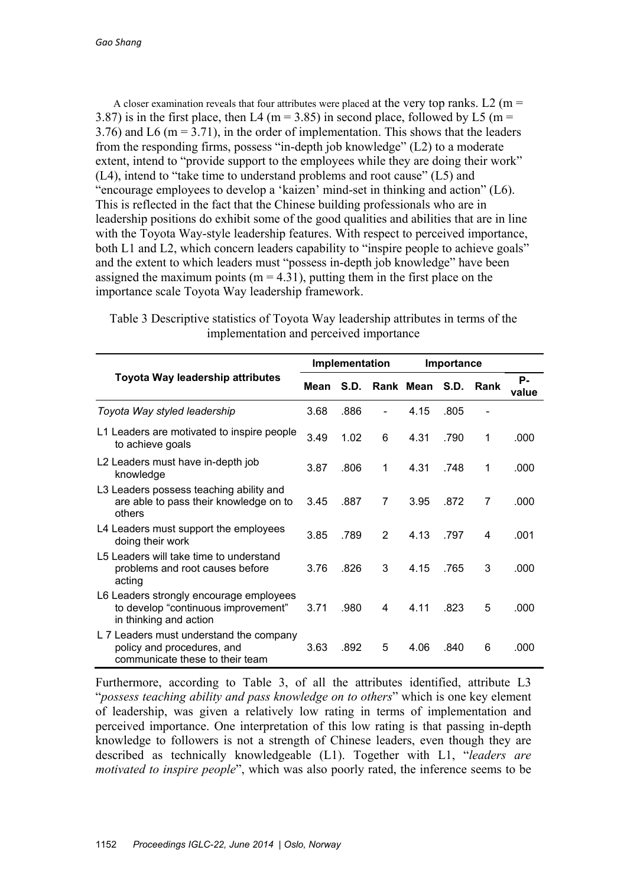A closer examination reveals that four attributes were placed at the very top ranks. L2 (m = 3.87) is in the first place, then L4 (m = 3.85) in second place, followed by L5 (m = 3.76) and L6 (m = 3.71), in the order of implementation. This shows that the leaders from the responding firms, possess "in-depth job knowledge" (L2) to a moderate extent, intend to "provide support to the employees while they are doing their work" (L4), intend to "take time to understand problems and root cause" (L5) and "encourage employees to develop a 'kaizen' mind-set in thinking and action" (L6). This is reflected in the fact that the Chinese building professionals who are in leadership positions do exhibit some of the good qualities and abilities that are in line with the Toyota Way-style leadership features. With respect to perceived importance, both L1 and L2, which concern leaders capability to "inspire people to achieve goals" and the extent to which leaders must "possess in-depth job knowledge" have been assigned the maximum points ( $m = 4.31$ ), putting them in the first place on the importance scale Toyota Way leadership framework.

|                                                                                                          | Implementation |      |               | Importance |      |      |             |
|----------------------------------------------------------------------------------------------------------|----------------|------|---------------|------------|------|------|-------------|
| Toyota Way leadership attributes                                                                         |                | S.D. |               | Rank Mean  | S.D. | Rank | Р.<br>value |
| Toyota Way styled leadership                                                                             | 3.68           | .886 |               | 4.15       | .805 |      |             |
| L1 Leaders are motivated to inspire people<br>to achieve goals                                           | 3.49           | 1.02 | 6             | 4.31       | .790 | 1    | .000        |
| L2 Leaders must have in-depth job<br>knowledge                                                           | 3.87           | .806 | 1             | 4.31       | .748 | 1    | .000        |
| L3 Leaders possess teaching ability and<br>are able to pass their knowledge on to<br>others              | 3.45           | .887 | 7             | 3.95       | .872 | 7    | .000        |
| L4 Leaders must support the employees<br>doing their work                                                | 3.85           | .789 | $\mathcal{P}$ | 4.13       | .797 | 4    | .001        |
| L5 Leaders will take time to understand<br>problems and root causes before<br>acting                     | 3.76           | .826 | 3             | 4.15       | .765 | 3    | .000        |
| L6 Leaders strongly encourage employees<br>to develop "continuous improvement"<br>in thinking and action | 3.71           | .980 | 4             | 4.11       | .823 | 5    | .000        |
| L 7 Leaders must understand the company<br>policy and procedures, and<br>communicate these to their team | 3.63           | .892 | 5             | 4.06       | .840 | 6    | .000        |

Table 3 Descriptive statistics of Toyota Way leadership attributes in terms of the implementation and perceived importance

Furthermore, according to Table 3, of all the attributes identified, attribute L3 "*possess teaching ability and pass knowledge on to others*" which is one key element of leadership, was given a relatively low rating in terms of implementation and perceived importance. One interpretation of this low rating is that passing in-depth knowledge to followers is not a strength of Chinese leaders, even though they are described as technically knowledgeable (L1). Together with L1, "*leaders are motivated to inspire people*", which was also poorly rated, the inference seems to be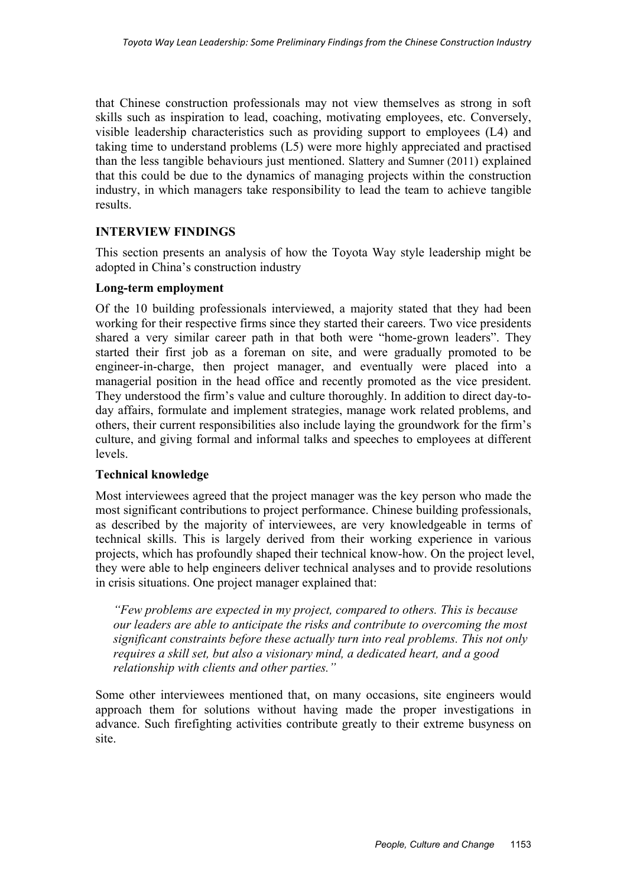that Chinese construction professionals may not view themselves as strong in soft skills such as inspiration to lead, coaching, motivating employees, etc. Conversely, visible leadership characteristics such as providing support to employees (L4) and taking time to understand problems (L5) were more highly appreciated and practised than the less tangible behaviours just mentioned. Slattery and Sumner (2011) explained that this could be due to the dynamics of managing projects within the construction industry, in which managers take responsibility to lead the team to achieve tangible results.

# **INTERVIEW FINDINGS**

This section presents an analysis of how the Toyota Way style leadership might be adopted in China's construction industry

# **Long-term employment**

Of the 10 building professionals interviewed, a majority stated that they had been working for their respective firms since they started their careers. Two vice presidents shared a very similar career path in that both were "home-grown leaders". They started their first job as a foreman on site, and were gradually promoted to be engineer-in-charge, then project manager, and eventually were placed into a managerial position in the head office and recently promoted as the vice president. They understood the firm's value and culture thoroughly. In addition to direct day-today affairs, formulate and implement strategies, manage work related problems, and others, their current responsibilities also include laying the groundwork for the firm's culture, and giving formal and informal talks and speeches to employees at different levels.

# **Technical knowledge**

Most interviewees agreed that the project manager was the key person who made the most significant contributions to project performance. Chinese building professionals, as described by the majority of interviewees, are very knowledgeable in terms of technical skills. This is largely derived from their working experience in various projects, which has profoundly shaped their technical know-how. On the project level, they were able to help engineers deliver technical analyses and to provide resolutions in crisis situations. One project manager explained that:

*"Few problems are expected in my project, compared to others. This is because our leaders are able to anticipate the risks and contribute to overcoming the most significant constraints before these actually turn into real problems. This not only requires a skill set, but also a visionary mind, a dedicated heart, and a good relationship with clients and other parties."* 

Some other interviewees mentioned that, on many occasions, site engineers would approach them for solutions without having made the proper investigations in advance. Such firefighting activities contribute greatly to their extreme busyness on site.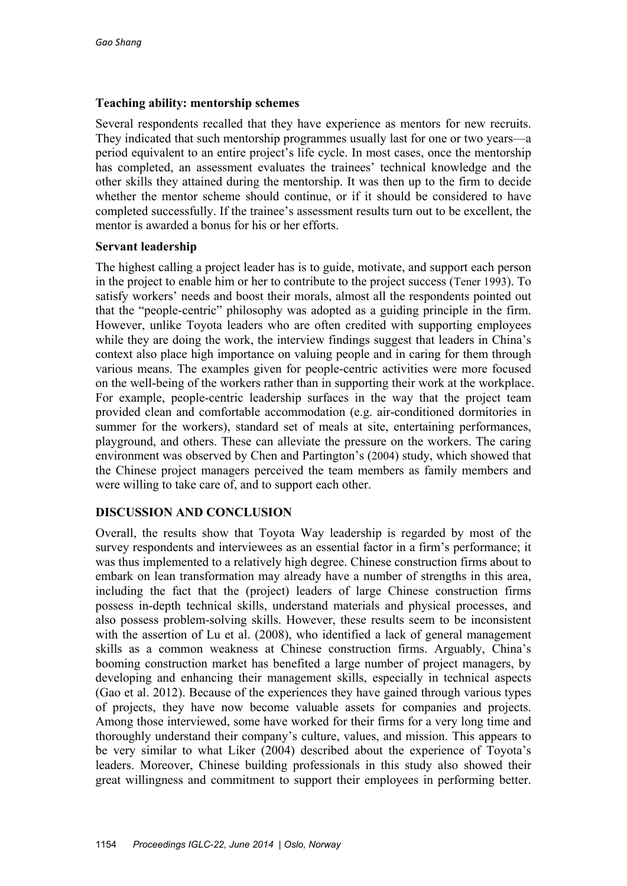# **Teaching ability: mentorship schemes**

Several respondents recalled that they have experience as mentors for new recruits. They indicated that such mentorship programmes usually last for one or two years—a period equivalent to an entire project's life cycle. In most cases, once the mentorship has completed, an assessment evaluates the trainees' technical knowledge and the other skills they attained during the mentorship. It was then up to the firm to decide whether the mentor scheme should continue, or if it should be considered to have completed successfully. If the trainee's assessment results turn out to be excellent, the mentor is awarded a bonus for his or her efforts.

# **Servant leadership**

The highest calling a project leader has is to guide, motivate, and support each person in the project to enable him or her to contribute to the project success (Tener 1993). To satisfy workers' needs and boost their morals, almost all the respondents pointed out that the "people-centric" philosophy was adopted as a guiding principle in the firm. However, unlike Toyota leaders who are often credited with supporting employees while they are doing the work, the interview findings suggest that leaders in China's context also place high importance on valuing people and in caring for them through various means. The examples given for people-centric activities were more focused on the well-being of the workers rather than in supporting their work at the workplace. For example, people-centric leadership surfaces in the way that the project team provided clean and comfortable accommodation (e.g. air-conditioned dormitories in summer for the workers), standard set of meals at site, entertaining performances, playground, and others. These can alleviate the pressure on the workers. The caring environment was observed by Chen and Partington's (2004) study, which showed that the Chinese project managers perceived the team members as family members and were willing to take care of, and to support each other.

# **DISCUSSION AND CONCLUSION**

Overall, the results show that Toyota Way leadership is regarded by most of the survey respondents and interviewees as an essential factor in a firm's performance; it was thus implemented to a relatively high degree. Chinese construction firms about to embark on lean transformation may already have a number of strengths in this area, including the fact that the (project) leaders of large Chinese construction firms possess in-depth technical skills, understand materials and physical processes, and also possess problem-solving skills. However, these results seem to be inconsistent with the assertion of Lu et al. (2008), who identified a lack of general management skills as a common weakness at Chinese construction firms. Arguably, China's booming construction market has benefited a large number of project managers, by developing and enhancing their management skills, especially in technical aspects (Gao et al. 2012). Because of the experiences they have gained through various types of projects, they have now become valuable assets for companies and projects. Among those interviewed, some have worked for their firms for a very long time and thoroughly understand their company's culture, values, and mission. This appears to be very similar to what Liker (2004) described about the experience of Toyota's leaders. Moreover, Chinese building professionals in this study also showed their great willingness and commitment to support their employees in performing better.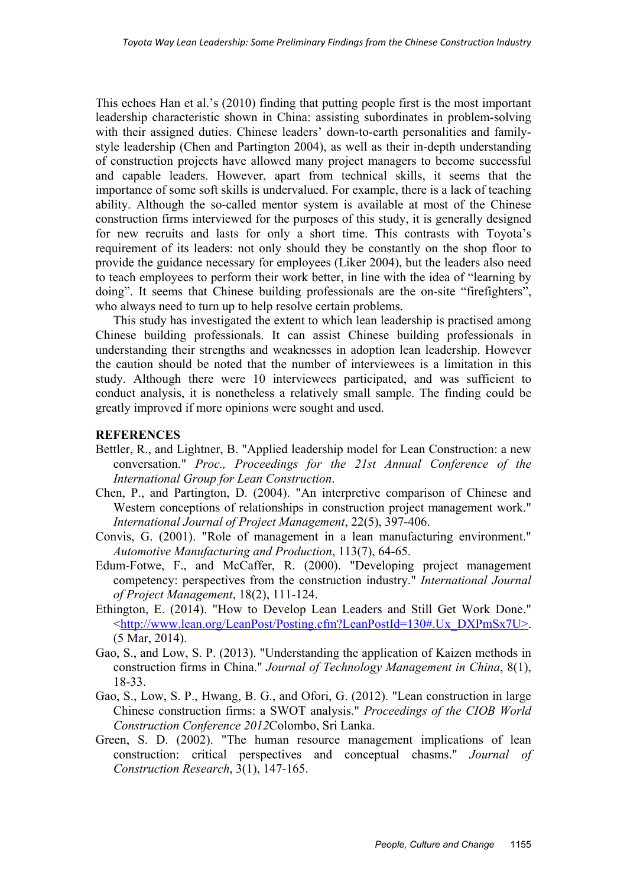This echoes Han et al.'s (2010) finding that putting people first is the most important leadership characteristic shown in China: assisting subordinates in problem-solving with their assigned duties. Chinese leaders' down-to-earth personalities and familystyle leadership (Chen and Partington 2004), as well as their in-depth understanding of construction projects have allowed many project managers to become successful and capable leaders. However, apart from technical skills, it seems that the importance of some soft skills is undervalued. For example, there is a lack of teaching ability. Although the so-called mentor system is available at most of the Chinese construction firms interviewed for the purposes of this study, it is generally designed for new recruits and lasts for only a short time. This contrasts with Toyota's requirement of its leaders: not only should they be constantly on the shop floor to provide the guidance necessary for employees (Liker 2004), but the leaders also need to teach employees to perform their work better, in line with the idea of "learning by doing". It seems that Chinese building professionals are the on-site "firefighters", who always need to turn up to help resolve certain problems.

This study has investigated the extent to which lean leadership is practised among Chinese building professionals. It can assist Chinese building professionals in understanding their strengths and weaknesses in adoption lean leadership. However the caution should be noted that the number of interviewees is a limitation in this study. Although there were 10 interviewees participated, and was sufficient to conduct analysis, it is nonetheless a relatively small sample. The finding could be greatly improved if more opinions were sought and used.

#### **REFERENCES**

- Bettler, R., and Lightner, B. "Applied leadership model for Lean Construction: a new conversation." *Proc., Proceedings for the 21st Annual Conference of the International Group for Lean Construction*.
- Chen, P., and Partington, D. (2004). "An interpretive comparison of Chinese and Western conceptions of relationships in construction project management work." *International Journal of Project Management*, 22(5), 397-406.
- Convis, G. (2001). "Role of management in a lean manufacturing environment." *Automotive Manufacturing and Production*, 113(7), 64-65.
- Edum-Fotwe, F., and McCaffer, R. (2000). "Developing project management competency: perspectives from the construction industry." *International Journal of Project Management*, 18(2), 111-124.
- Ethington, E. (2014). "How to Develop Lean Leaders and Still Get Work Done." <http://www.lean.org/LeanPost/Posting.cfm?LeanPostId=130#.Ux\_DXPmSx7U>. (5 Mar, 2014).
- Gao, S., and Low, S. P. (2013). "Understanding the application of Kaizen methods in construction firms in China." *Journal of Technology Management in China*, 8(1), 18-33.
- Gao, S., Low, S. P., Hwang, B. G., and Ofori, G. (2012). "Lean construction in large Chinese construction firms: a SWOT analysis." *Proceedings of the CIOB World Construction Conference 2012*Colombo, Sri Lanka.
- Green, S. D. (2002). "The human resource management implications of lean construction: critical perspectives and conceptual chasms." *Journal of Construction Research*, 3(1), 147-165.